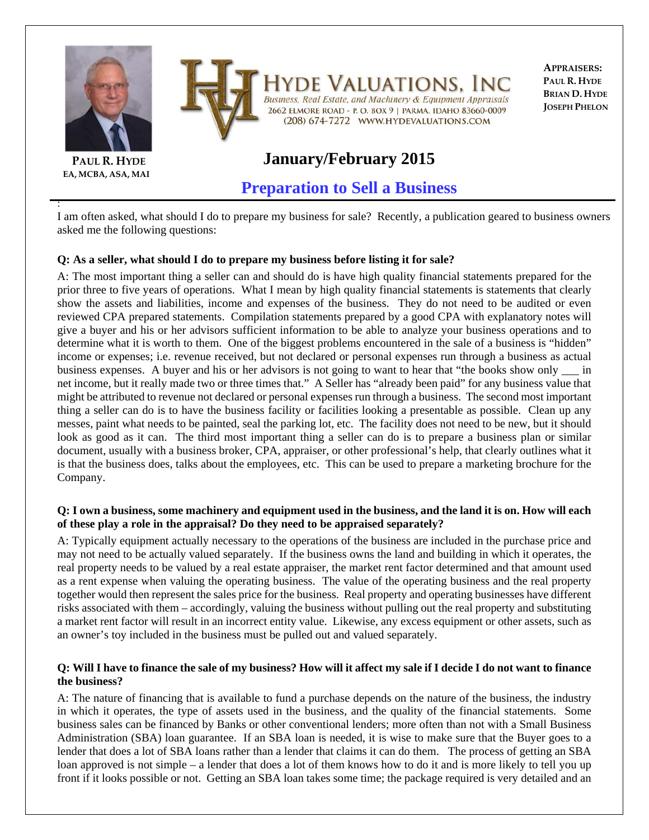

**EA, MCBA, ASA, MAI**

:



Iyde Valuations, In Business, Real Estate, and Machinery & Equipment Appraisals 2662 ELMORE ROAD - P. O. BOX 9 | PARMA, IDAHO 83660-0009 (208) 674-7272 WWW.HYDEVALUATIONS.COM

**APPRAISERS: PAUL R. HYDE BRIAN D. HYDE JOSEPH PHELON**

# **January/February 2015**

**Preparation to Sell a Business**

I am often asked, what should I do to prepare my business for sale? Recently, a publication geared to business owners asked me the following questions:

## **Q: As a seller, what should I do to prepare my business before listing it for sale?**

A: The most important thing a seller can and should do is have high quality financial statements prepared for the prior three to five years of operations. What I mean by high quality financial statements is statements that clearly show the assets and liabilities, income and expenses of the business. They do not need to be audited or even reviewed CPA prepared statements. Compilation statements prepared by a good CPA with explanatory notes will give a buyer and his or her advisors sufficient information to be able to analyze your business operations and to determine what it is worth to them. One of the biggest problems encountered in the sale of a business is "hidden" income or expenses; i.e. revenue received, but not declared or personal expenses run through a business as actual business expenses. A buyer and his or her advisors is not going to want to hear that "the books show only \_\_\_ in net income, but it really made two or three times that." A Seller has "already been paid" for any business value that might be attributed to revenue not declared or personal expenses run through a business. The second most important thing a seller can do is to have the business facility or facilities looking a presentable as possible. Clean up any messes, paint what needs to be painted, seal the parking lot, etc. The facility does not need to be new, but it should look as good as it can. The third most important thing a seller can do is to prepare a business plan or similar document, usually with a business broker, CPA, appraiser, or other professional's help, that clearly outlines what it is that the business does, talks about the employees, etc. This can be used to prepare a marketing brochure for the Company.

#### **Q: I own a business, some machinery and equipment used in the business, and the land it is on. How will each of these play a role in the appraisal? Do they need to be appraised separately?**

A: Typically equipment actually necessary to the operations of the business are included in the purchase price and may not need to be actually valued separately. If the business owns the land and building in which it operates, the real property needs to be valued by a real estate appraiser, the market rent factor determined and that amount used as a rent expense when valuing the operating business. The value of the operating business and the real property together would then represent the sales price for the business. Real property and operating businesses have different risks associated with them – accordingly, valuing the business without pulling out the real property and substituting a market rent factor will result in an incorrect entity value. Likewise, any excess equipment or other assets, such as an owner's toy included in the business must be pulled out and valued separately.

### **Q: Will I have to finance the sale of my business? How will it affect my sale if I decide I do not want to finance the business?**

A: The nature of financing that is available to fund a purchase depends on the nature of the business, the industry in which it operates, the type of assets used in the business, and the quality of the financial statements. Some business sales can be financed by Banks or other conventional lenders; more often than not with a Small Business Administration (SBA) loan guarantee. If an SBA loan is needed, it is wise to make sure that the Buyer goes to a lender that does a lot of SBA loans rather than a lender that claims it can do them. The process of getting an SBA loan approved is not simple – a lender that does a lot of them knows how to do it and is more likely to tell you up front if it looks possible or not. Getting an SBA loan takes some time; the package required is very detailed and an